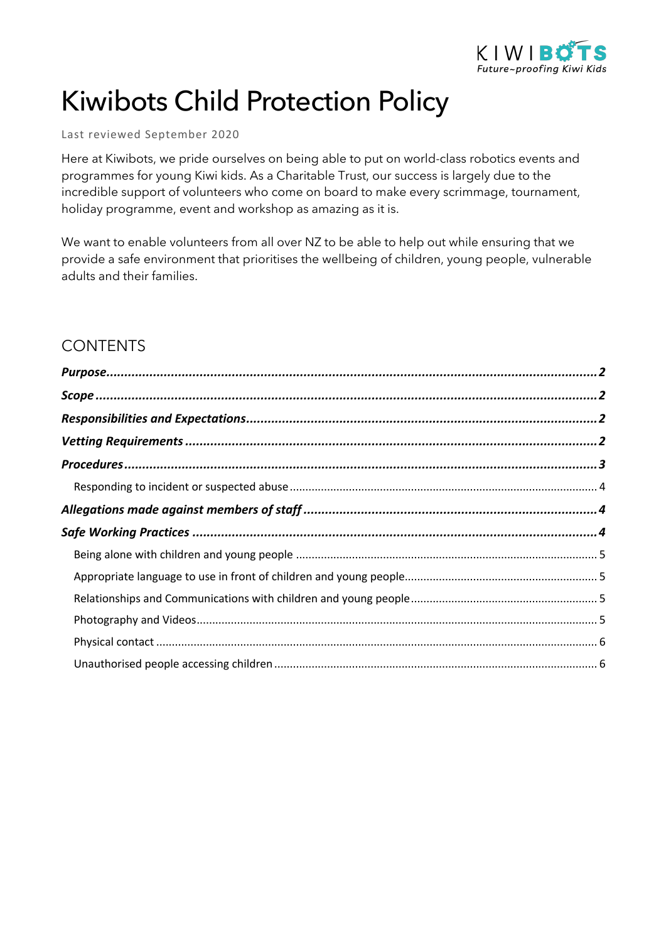

# Kiwibots Child Protection Policy

#### Last reviewed September 2020

Here at Kiwibots, we pride ourselves on being able to put on world-class robotics events and programmes for young Kiwi kids. As a Charitable Trust, our success is largely due to the incredible support of volunteers who come on board to make every scrimmage, tournament, holiday programme, event and workshop as amazing as it is.

We want to enable volunteers from all over NZ to be able to help out while ensuring that we provide a safe environment that prioritises the wellbeing of children, young people, vulnerable adults and their families.

### **CONTENTS**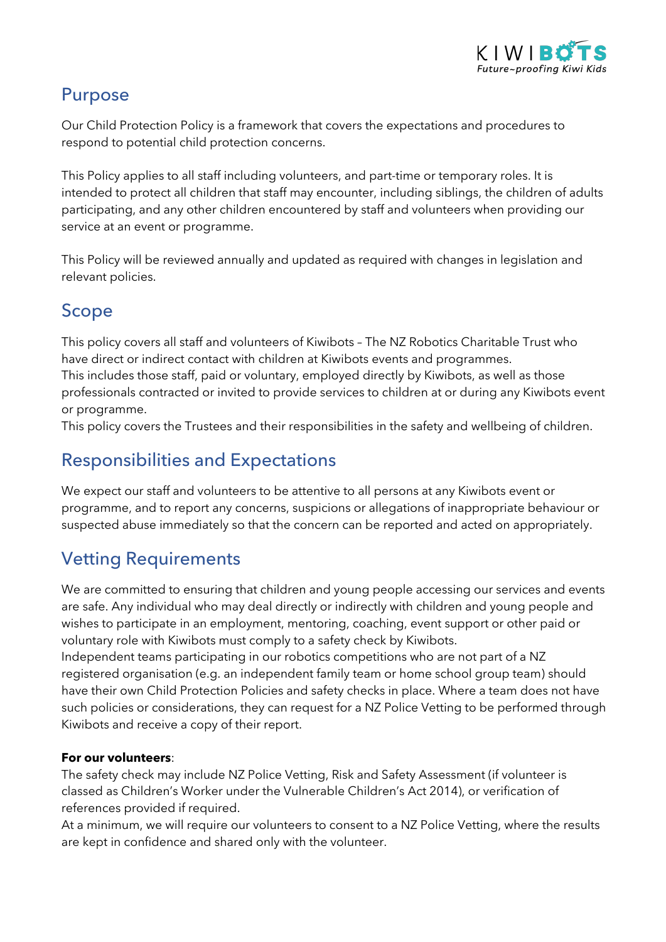

### Purpose

Our Child Protection Policy is a framework that covers the expectations and procedures to respond to potential child protection concerns.

This Policy applies to all staff including volunteers, and part-time or temporary roles. It is intended to protect all children that staff may encounter, including siblings, the children of adults participating, and any other children encountered by staff and volunteers when providing our service at an event or programme.

This Policy will be reviewed annually and updated as required with changes in legislation and relevant policies.

## Scope

This policy covers all staff and volunteers of Kiwibots – The NZ Robotics Charitable Trust who have direct or indirect contact with children at Kiwibots events and programmes. This includes those staff, paid or voluntary, employed directly by Kiwibots, as well as those professionals contracted or invited to provide services to children at or during any Kiwibots event or programme.

This policy covers the Trustees and their responsibilities in the safety and wellbeing of children.

### Responsibilities and Expectations

We expect our staff and volunteers to be attentive to all persons at any Kiwibots event or programme, and to report any concerns, suspicions or allegations of inappropriate behaviour or suspected abuse immediately so that the concern can be reported and acted on appropriately.

## Vetting Requirements

We are committed to ensuring that children and young people accessing our services and events are safe. Any individual who may deal directly or indirectly with children and young people and wishes to participate in an employment, mentoring, coaching, event support or other paid or voluntary role with Kiwibots must comply to a safety check by Kiwibots.

Independent teams participating in our robotics competitions who are not part of a NZ registered organisation (e.g. an independent family team or home school group team) should have their own Child Protection Policies and safety checks in place. Where a team does not have such policies or considerations, they can request for a NZ Police Vetting to be performed through Kiwibots and receive a copy of their report.

#### **For our volunteers**:

The safety check may include NZ Police Vetting, Risk and Safety Assessment (if volunteer is classed as Children's Worker under the Vulnerable Children's Act 2014), or verification of references provided if required.

At a minimum, we will require our volunteers to consent to a NZ Police Vetting, where the results are kept in confidence and shared only with the volunteer.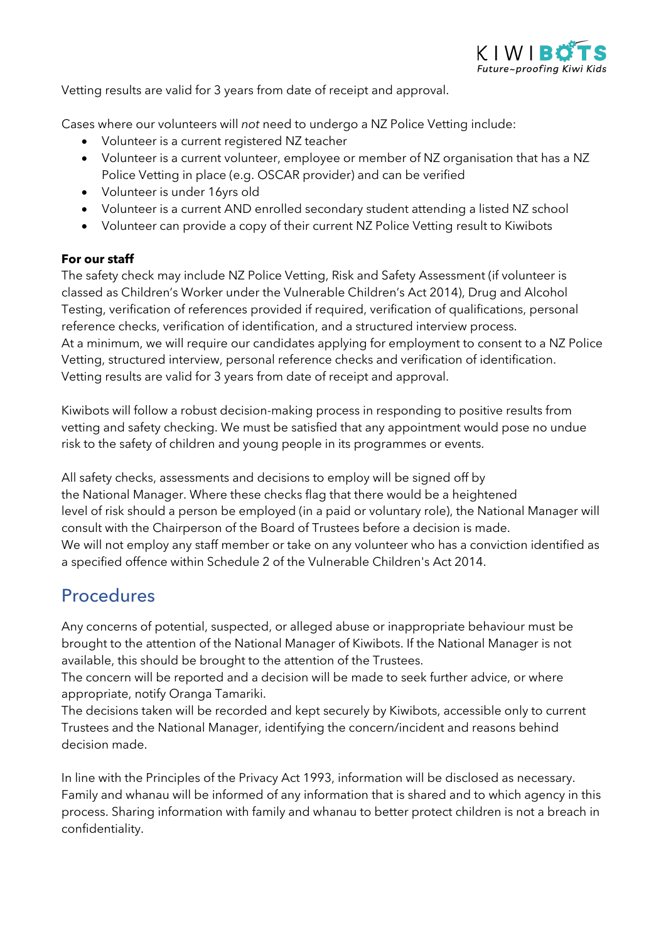

Vetting results are valid for 3 years from date of receipt and approval.

Cases where our volunteers will *not* need to undergo a NZ Police Vetting include:

- Volunteer is a current registered NZ teacher
- Volunteer is a current volunteer, employee or member of NZ organisation that has a NZ Police Vetting in place (e.g. OSCAR provider) and can be verified
- Volunteer is under 16yrs old
- Volunteer is a current AND enrolled secondary student attending a listed NZ school
- Volunteer can provide a copy of their current NZ Police Vetting result to Kiwibots

#### **For our staff**

The safety check may include NZ Police Vetting, Risk and Safety Assessment (if volunteer is classed as Children's Worker under the Vulnerable Children's Act 2014), Drug and Alcohol Testing, verification of references provided if required, verification of qualifications, personal reference checks, verification of identification, and a structured interview process. At a minimum, we will require our candidates applying for employment to consent to a NZ Police Vetting, structured interview, personal reference checks and verification of identification. Vetting results are valid for 3 years from date of receipt and approval.

Kiwibots will follow a robust decision-making process in responding to positive results from vetting and safety checking. We must be satisfied that any appointment would pose no undue risk to the safety of children and young people in its programmes or events.

All safety checks, assessments and decisions to employ will be signed off by the National Manager. Where these checks flag that there would be a heightened level of risk should a person be employed (in a paid or voluntary role), the National Manager will consult with the Chairperson of the Board of Trustees before a decision is made. We will not employ any staff member or take on any volunteer who has a conviction identified as a specified offence within Schedule 2 of the Vulnerable Children's Act 2014.

### Procedures

Any concerns of potential, suspected, or alleged abuse or inappropriate behaviour must be brought to the attention of the National Manager of Kiwibots. If the National Manager is not available, this should be brought to the attention of the Trustees.

The concern will be reported and a decision will be made to seek further advice, or where appropriate, notify Oranga Tamariki.

The decisions taken will be recorded and kept securely by Kiwibots, accessible only to current Trustees and the National Manager, identifying the concern/incident and reasons behind decision made.

In line with the Principles of the Privacy Act 1993, information will be disclosed as necessary. Family and whanau will be informed of any information that is shared and to which agency in this process. Sharing information with family and whanau to better protect children is not a breach in confidentiality.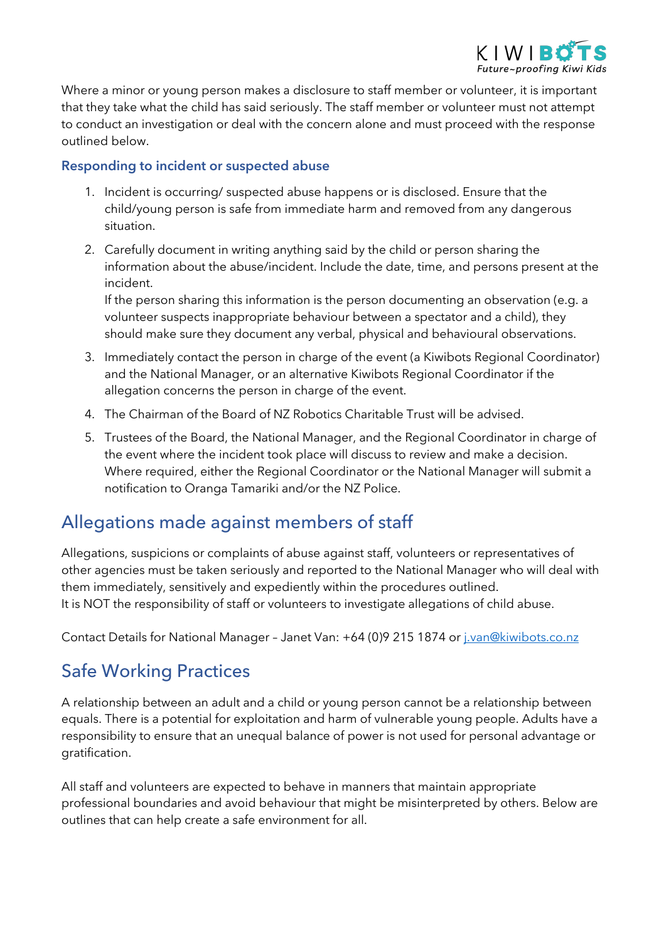

Where a minor or young person makes a disclosure to staff member or volunteer, it is important that they take what the child has said seriously. The staff member or volunteer must not attempt to conduct an investigation or deal with the concern alone and must proceed with the response outlined below.

#### **Responding to incident or suspected abuse**

- 1. Incident is occurring/ suspected abuse happens or is disclosed. Ensure that the child/young person is safe from immediate harm and removed from any dangerous situation.
- 2. Carefully document in writing anything said by the child or person sharing the information about the abuse/incident. Include the date, time, and persons present at the incident.

If the person sharing this information is the person documenting an observation (e.g. a volunteer suspects inappropriate behaviour between a spectator and a child), they should make sure they document any verbal, physical and behavioural observations.

- 3. Immediately contact the person in charge of the event (a Kiwibots Regional Coordinator) and the National Manager, or an alternative Kiwibots Regional Coordinator if the allegation concerns the person in charge of the event.
- 4. The Chairman of the Board of NZ Robotics Charitable Trust will be advised.
- 5. Trustees of the Board, the National Manager, and the Regional Coordinator in charge of the event where the incident took place will discuss to review and make a decision. Where required, either the Regional Coordinator or the National Manager will submit a notification to Oranga Tamariki and/or the NZ Police.

### Allegations made against members of staff

Allegations, suspicions or complaints of abuse against staff, volunteers or representatives of other agencies must be taken seriously and reported to the National Manager who will deal with them immediately, sensitively and expediently within the procedures outlined. It is NOT the responsibility of staff or volunteers to investigate allegations of child abuse.

Contact Details for National Manager – Janet Van: +64 (0)9 215 1874 or j.van@kiwibots.co.nz

## Safe Working Practices

A relationship between an adult and a child or young person cannot be a relationship between equals. There is a potential for exploitation and harm of vulnerable young people. Adults have a responsibility to ensure that an unequal balance of power is not used for personal advantage or gratification.

All staff and volunteers are expected to behave in manners that maintain appropriate professional boundaries and avoid behaviour that might be misinterpreted by others. Below are outlines that can help create a safe environment for all.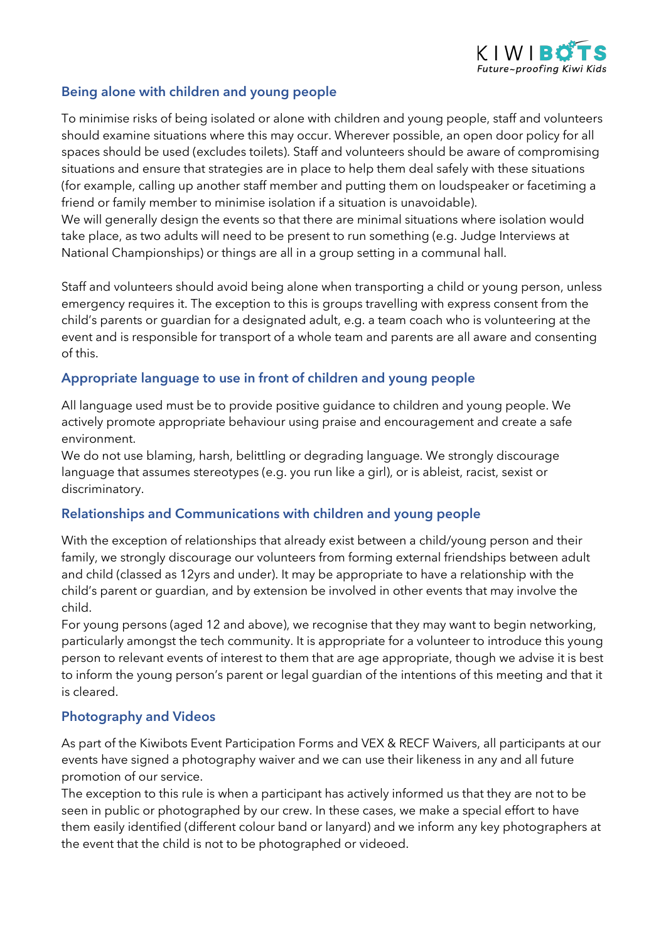

#### **Being alone with children and young people**

To minimise risks of being isolated or alone with children and young people, staff and volunteers should examine situations where this may occur. Wherever possible, an open door policy for all spaces should be used (excludes toilets). Staff and volunteers should be aware of compromising situations and ensure that strategies are in place to help them deal safely with these situations (for example, calling up another staff member and putting them on loudspeaker or facetiming a friend or family member to minimise isolation if a situation is unavoidable).

We will generally design the events so that there are minimal situations where isolation would take place, as two adults will need to be present to run something (e.g. Judge Interviews at National Championships) or things are all in a group setting in a communal hall.

Staff and volunteers should avoid being alone when transporting a child or young person, unless emergency requires it. The exception to this is groups travelling with express consent from the child's parents or guardian for a designated adult, e.g. a team coach who is volunteering at the event and is responsible for transport of a whole team and parents are all aware and consenting of this.

#### **Appropriate language to use in front of children and young people**

All language used must be to provide positive guidance to children and young people. We actively promote appropriate behaviour using praise and encouragement and create a safe environment.

We do not use blaming, harsh, belittling or degrading language. We strongly discourage language that assumes stereotypes (e.g. you run like a girl), or is ableist, racist, sexist or discriminatory.

#### **Relationships and Communications with children and young people**

With the exception of relationships that already exist between a child/young person and their family, we strongly discourage our volunteers from forming external friendships between adult and child (classed as 12yrs and under). It may be appropriate to have a relationship with the child's parent or guardian, and by extension be involved in other events that may involve the child.

For young persons (aged 12 and above), we recognise that they may want to begin networking, particularly amongst the tech community. It is appropriate for a volunteer to introduce this young person to relevant events of interest to them that are age appropriate, though we advise it is best to inform the young person's parent or legal guardian of the intentions of this meeting and that it is cleared.

#### **Photography and Videos**

As part of the Kiwibots Event Participation Forms and VEX & RECF Waivers, all participants at our events have signed a photography waiver and we can use their likeness in any and all future promotion of our service.

The exception to this rule is when a participant has actively informed us that they are not to be seen in public or photographed by our crew. In these cases, we make a special effort to have them easily identified (different colour band or lanyard) and we inform any key photographers at the event that the child is not to be photographed or videoed.